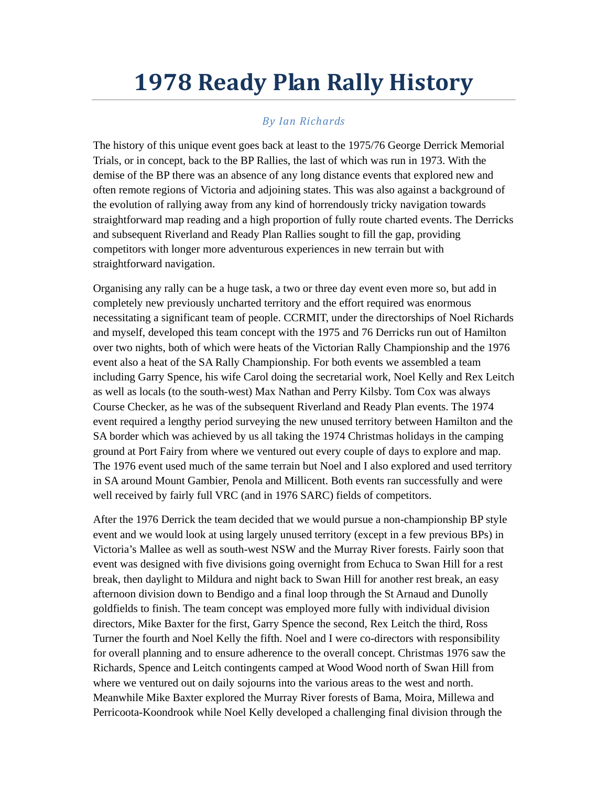## **1978 Ready Plan Rally History**

## *By Ian Richards*

The history of this unique event goes back at least to the 1975/76 George Derrick Memorial Trials, or in concept, back to the BP Rallies, the last of which was run in 1973. With the demise of the BP there was an absence of any long distance events that explored new and often remote regions of Victoria and adjoining states. This was also against a background of the evolution of rallying away from any kind of horrendously tricky navigation towards straightforward map reading and a high proportion of fully route charted events. The Derricks and subsequent Riverland and Ready Plan Rallies sought to fill the gap, providing competitors with longer more adventurous experiences in new terrain but with straightforward navigation.

Organising any rally can be a huge task, a two or three day event even more so, but add in completely new previously uncharted territory and the effort required was enormous necessitating a significant team of people. CCRMIT, under the directorships of Noel Richards and myself, developed this team concept with the 1975 and 76 Derricks run out of Hamilton over two nights, both of which were heats of the Victorian Rally Championship and the 1976 event also a heat of the SA Rally Championship. For both events we assembled a team including Garry Spence, his wife Carol doing the secretarial work, Noel Kelly and Rex Leitch as well as locals (to the south-west) Max Nathan and Perry Kilsby. Tom Cox was always Course Checker, as he was of the subsequent Riverland and Ready Plan events. The 1974 event required a lengthy period surveying the new unused territory between Hamilton and the SA border which was achieved by us all taking the 1974 Christmas holidays in the camping ground at Port Fairy from where we ventured out every couple of days to explore and map. The 1976 event used much of the same terrain but Noel and I also explored and used territory in SA around Mount Gambier, Penola and Millicent. Both events ran successfully and were well received by fairly full VRC (and in 1976 SARC) fields of competitors.

After the 1976 Derrick the team decided that we would pursue a non-championship BP style event and we would look at using largely unused territory (except in a few previous BPs) in Victoria's Mallee as well as south-west NSW and the Murray River forests. Fairly soon that event was designed with five divisions going overnight from Echuca to Swan Hill for a rest break, then daylight to Mildura and night back to Swan Hill for another rest break, an easy afternoon division down to Bendigo and a final loop through the St Arnaud and Dunolly goldfields to finish. The team concept was employed more fully with individual division directors, Mike Baxter for the first, Garry Spence the second, Rex Leitch the third, Ross Turner the fourth and Noel Kelly the fifth. Noel and I were co-directors with responsibility for overall planning and to ensure adherence to the overall concept. Christmas 1976 saw the Richards, Spence and Leitch contingents camped at Wood Wood north of Swan Hill from where we ventured out on daily sojourns into the various areas to the west and north. Meanwhile Mike Baxter explored the Murray River forests of Bama, Moira, Millewa and Perricoota-Koondrook while Noel Kelly developed a challenging final division through the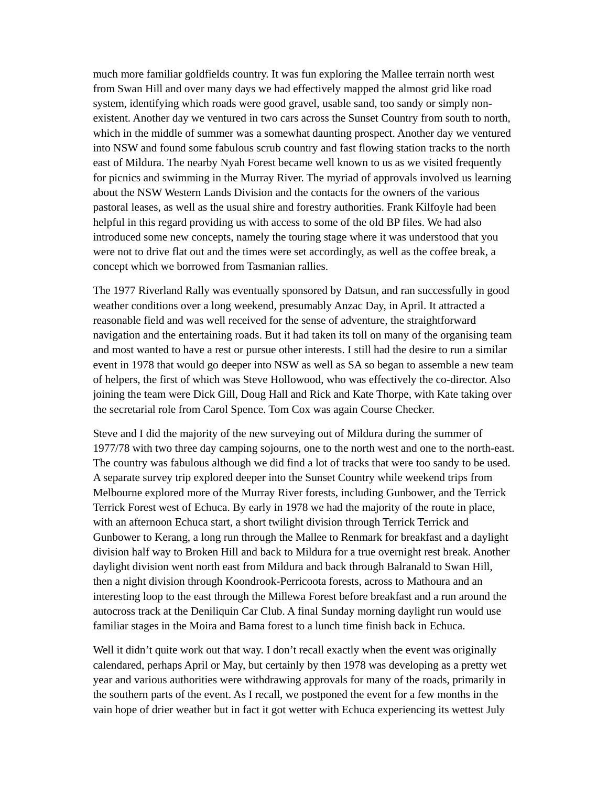much more familiar goldfields country. It was fun exploring the Mallee terrain north west from Swan Hill and over many days we had effectively mapped the almost grid like road system, identifying which roads were good gravel, usable sand, too sandy or simply nonexistent. Another day we ventured in two cars across the Sunset Country from south to north, which in the middle of summer was a somewhat daunting prospect. Another day we ventured into NSW and found some fabulous scrub country and fast flowing station tracks to the north east of Mildura. The nearby Nyah Forest became well known to us as we visited frequently for picnics and swimming in the Murray River. The myriad of approvals involved us learning about the NSW Western Lands Division and the contacts for the owners of the various pastoral leases, as well as the usual shire and forestry authorities. Frank Kilfoyle had been helpful in this regard providing us with access to some of the old BP files. We had also introduced some new concepts, namely the touring stage where it was understood that you were not to drive flat out and the times were set accordingly, as well as the coffee break, a concept which we borrowed from Tasmanian rallies.

The 1977 Riverland Rally was eventually sponsored by Datsun, and ran successfully in good weather conditions over a long weekend, presumably Anzac Day, in April. It attracted a reasonable field and was well received for the sense of adventure, the straightforward navigation and the entertaining roads. But it had taken its toll on many of the organising team and most wanted to have a rest or pursue other interests. I still had the desire to run a similar event in 1978 that would go deeper into NSW as well as SA so began to assemble a new team of helpers, the first of which was Steve Hollowood, who was effectively the co-director. Also joining the team were Dick Gill, Doug Hall and Rick and Kate Thorpe, with Kate taking over the secretarial role from Carol Spence. Tom Cox was again Course Checker.

Steve and I did the majority of the new surveying out of Mildura during the summer of 1977/78 with two three day camping sojourns, one to the north west and one to the north-east. The country was fabulous although we did find a lot of tracks that were too sandy to be used. A separate survey trip explored deeper into the Sunset Country while weekend trips from Melbourne explored more of the Murray River forests, including Gunbower, and the Terrick Terrick Forest west of Echuca. By early in 1978 we had the majority of the route in place, with an afternoon Echuca start, a short twilight division through Terrick Terrick and Gunbower to Kerang, a long run through the Mallee to Renmark for breakfast and a daylight division half way to Broken Hill and back to Mildura for a true overnight rest break. Another daylight division went north east from Mildura and back through Balranald to Swan Hill, then a night division through Koondrook-Perricoota forests, across to Mathoura and an interesting loop to the east through the Millewa Forest before breakfast and a run around the autocross track at the Deniliquin Car Club. A final Sunday morning daylight run would use familiar stages in the Moira and Bama forest to a lunch time finish back in Echuca.

Well it didn't quite work out that way. I don't recall exactly when the event was originally calendared, perhaps April or May, but certainly by then 1978 was developing as a pretty wet year and various authorities were withdrawing approvals for many of the roads, primarily in the southern parts of the event. As I recall, we postponed the event for a few months in the vain hope of drier weather but in fact it got wetter with Echuca experiencing its wettest July